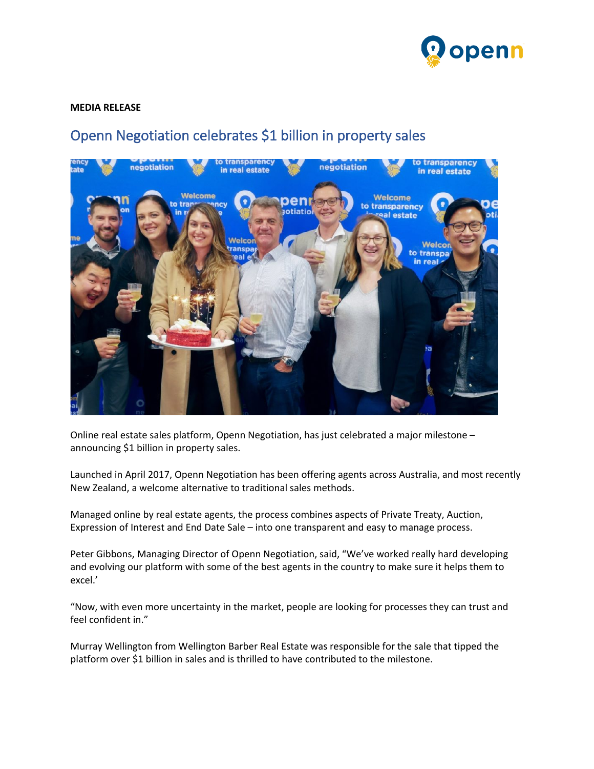

## **MEDIA RELEASE**

## Openn Negotiation celebrates \$1 billion in property sales



Online real estate sales platform, Openn Negotiation, has just celebrated a major milestone – announcing \$1 billion in property sales.

Launched in April 2017, Openn Negotiation has been offering agents across Australia, and most recently New Zealand, a welcome alternative to traditional sales methods.

Managed online by real estate agents, the process combines aspects of Private Treaty, Auction, Expression of Interest and End Date Sale – into one transparent and easy to manage process.

Peter Gibbons, Managing Director of Openn Negotiation, said, "We've worked really hard developing and evolving our platform with some of the best agents in the country to make sure it helps them to excel.'

"Now, with even more uncertainty in the market, people are looking for processes they can trust and feel confident in."

Murray Wellington from Wellington Barber Real Estate was responsible for the sale that tipped the platform over \$1 billion in sales and is thrilled to have contributed to the milestone.